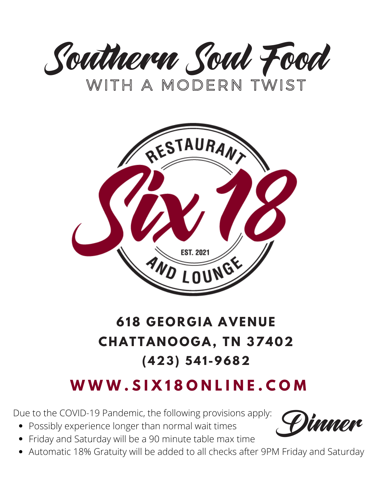



# **618 G EOR G IA AVE N UE CHATTA NOOG A, T N 37402 (423) 541 -9682**

# **W W W . S I X 1 8 O N L I N E . C O M**

Due to the COVID-19 Pandemic, the following provisions apply: **Qimmon** 

- Possibly experience longer than normal wait times
- Friday and Saturday will be a 90 minute table max time
- 
- Automatic 18% Gratuity will be added to all checks after 9PM Friday and Saturday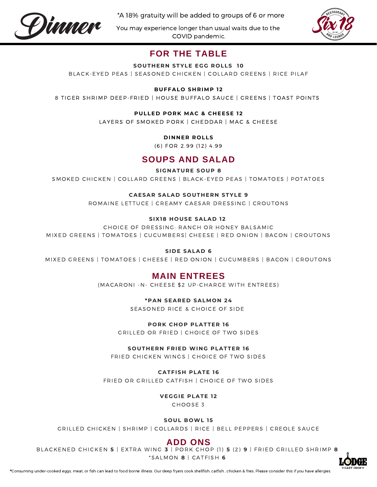

\*A 18% gratuity will be added to groups of 6 or more

You may experience longer than usual waits due to the COVID pandemic.



### **FOR THE TABLE**

#### **SOUT H ER N STYLE EGG ROLLS 10**

BLACK-EYED PEAS | SEASONED CHICKEN | COLLARD GREENS | RICE PILAF

### **BUFFALO S H RIMP 12**

8 TIGER SHRIMP DEEP-FRIED | HOUSE BUFFALO SAUCE | GREENS | TOAST POINTS

#### **PULLE D PORK MAC & C H EESE 12**

LAYERS OF SMOKED PORK | CHEDDAR | MAC & CHEESE

#### **D I N N ER ROLLS**

(6) FOR 2.99 (12) 4.99

### **SOUPS AND SALAD**

#### **SIG N ATURE SOUP 8**

SMOKED CHICKEN | COLLARD GREENS | BLACK-EYED PEAS | TOMATOES | POTATOES

### **CAESAR SALA D SOUT H ER N STYLE 9**

ROMAINE LETTUCE | CREAMY CAESAR DRESSING | CROUTONS

### **SIX18 HOUSE SALA D 12**

CHOICE OF DRESSING: RANCH OR HONEY BALSAMIC MIXED GREENS | TOMATOES | CUCUMBERS| CHEESE | RED ONION | BACON | CROUTONS

#### **SI D E SALA D 6**

MIXED GREENS | TOMATOES | CHEESE | RED ONION | CUCUMBERS | BACON | CROUTONS

### **MAIN ENTREES**

(MACARONI - N - CHEESE \$2 UP-CHARGE WITH ENTREES)

#### **\*PA N SEARE D SALMON 24**

SEASONED RICE & CHOICE OF SIDE

#### **PORK C HOP PLATTER 16**

GRILLED OR FRIED | CHOICE OF TWO SIDES

#### **SOUT H ER N FRIE D WI N G PLATTER 16**

FRIED CHICKEN WINGS | CHOICE OF TWO SIDES

#### **CATFIS H PLATE 16**

FRIED OR GRILLED CATFISH | CHOICE OF TWO SIDES

### **VEGGIE PLATE 12**

CHOOSE 3

#### **SOUL BOWL 15**

GRILLED CHICKEN | SHRIMP | COLLARDS | RICE | BELL PEPPERS | CREOLE SAUCE

### **ADD ONS**

BLACKENED CHICKEN **5** | EXTRA WING **3** | PORK CHOP (1) **5** (2) **9** | FRIED GRILLED SHRIMP **8** \*S A LMO N **8** | C A T F ISH **6**

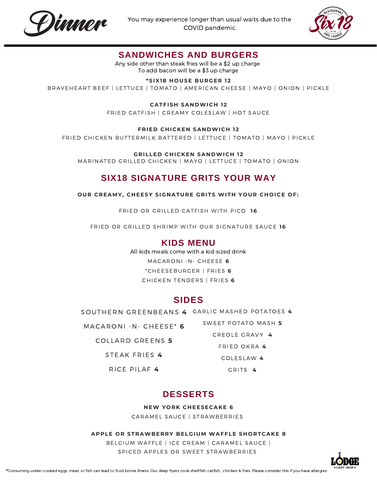



### **SANDWICHES AND BURGERS**

Any side other than steak fries will be a \$2 up charge To add bacon will be a \$3 up charge

### **\*SIX18 HOUSE BURGER 12**

BRAVEHEART BEEF | LETTUCE | TOMATO | AMERICAN CHEESE | MAYO | ONION | PICKLE

**CATFIS H SA N DWIC H 12**

FRIED CATFISH | CREAMY COLESLAW | HOT SAUCE

### **FRIE D C H ICKE N SA N DWIC H 12**

FRIED CHICKEN BUTTERMILK BATTERED | LETTUCE | TOMATO | MAYO | PICKLE

**GRILLE D C H ICKE N SA N DWIC H 12**

MARINATED GRILLED CHICKEN | MAYO | LETTUCE | TOMATO | ONION

### **SIX18 SIGNATURE GRITS YOUR WAY**

**OUR CREAMY, C H EESY SIG N ATURE GRITS WIT H YOUR C HOICE OF:**

FRIED OR GRILLED CATFISH WITH PICO 16

FRIED OR GRILLED SHRIMP WITH OUR SIGNATURE SAUCE 16

### **KIDS MENU**

All kids meals come with a kid-sized drink

MACARONI -N- CHEESE 6

\*CHEESEBURGER | FRIES **6** CHI C KEN TENDERS | FRIES **6**

### **SIDES**

SOUTHERN GREENBEANS 4 GARLIC MASHED POTATOES 4

MACARONI - N- CHEESE<sup>\*</sup> 6

C O L LARD GREENS **5**

STEAK FRIES **4**

C O LESLAW **4** GRITS 4

SWEET POTATO MASH 5 CREOLE GRAVY 4 FRIED O KRA **4**

RICE PILAF<sup>4</sup>

### **DESSERTS**

**NEW YORK CHEESECAKE 6** 

CARAMEL SAUCE | STRAWBERRIES

### **APPLE OR STRAWBERRY BELGIUM WAFFLE S HORTCAKE 8**

BELGIUM WAFFLE | ICE CREAM | CARAMEL SAUCE | SPICED APPLES OR SWEET STRAWBERRIES